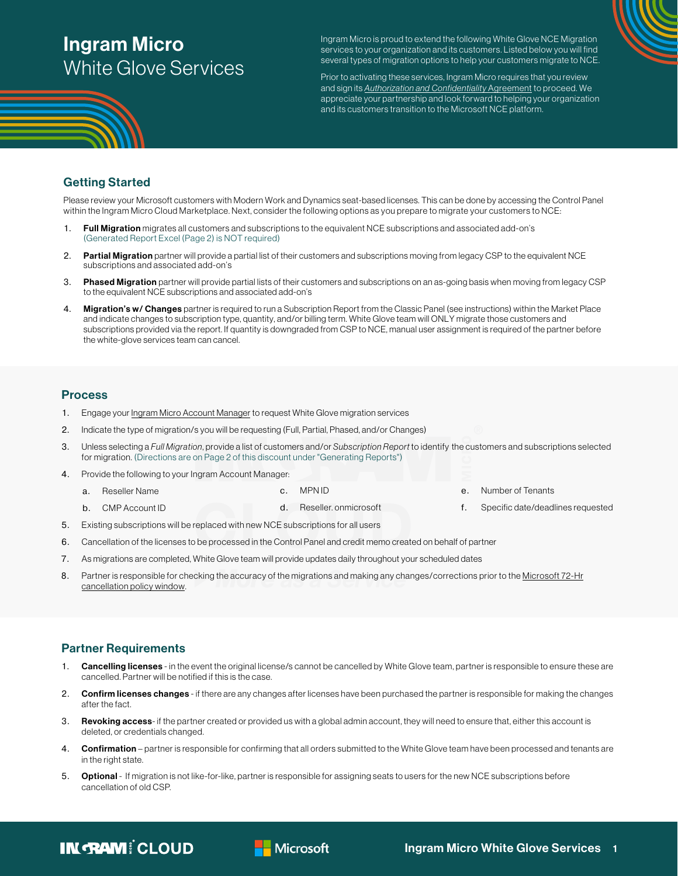# Ingram Micro [White Glove Services](https://go.ingrammicrocloud.com/Microsoft_New-Commerce-Experience)

Ingram Micro is proud to extend the following White Glove NCE Migration services to your organization and its customers. Listed below you will find several types of migration options to help your customers migrate to NCE.

Prior to activating these services, Ingram Micro requires that you review and sign its **[Authorization and](https://images.go.ingrammicrocloud.com/Web/IngramMicroCloud/{d3e9809d-22e6-4efc-86b9-3badd2a9ddb5}_Ingram_Authorization_and_Confidentiality_Agreement_NCE_White_Glove.pdf) Confidentiality Agreement** to proceed. We appreciate your partnership and look forward to helping your organization and its customers transition to the Microsoft NCE platform.

## Getting Started

Please review your Microsoft customers with Modern Work and Dynamics seat-based licenses. This can be done by accessing the Control Panel within the Ingram Micro Cloud Marketplace. Next, consider the following options as you prepare to migrate your customers to NCE:

- 1. Full Migration migrates all customers and subscriptions to the equivalent NCE subscriptions and associated add-on's (Generated Report Excel (Page 2) is NOT required)
- 2. Partial Migration partner will provide a partial list of their customers and subscriptions moving from legacy CSP to the equivalent NCE subscriptions and associated add-on's
- 3. Phased Migration partner will provide partial lists of their customers and subscriptions on an as-going basis when moving from legacy CSP to the equivalent NCE subscriptions and associated add-on's
- 4. Migration's w/ Changes partner is required to run a Subscription Report from the Classic Panel (see instructions) within the Market Place and indicate changes to subscription type, quantity, and/or billing term. White Glove team will ONLY migrate those customers and subscriptions provided via the report. If quantity is downgraded from CSP to NCE, manual user assignment is required of the partner before the white-glove services team can cancel.

## **Process**

- 1. Engage your [Ingram Micro Account Manager](https://go.ingrammicrocloud.com/Microsoft-NCE-Champions) to request White Glove migration services
- 2. Indicate the type of migration/s you will be requesting (Full, Partial, Phased, and/or Changes)
- 3. Unless selecting a Full Migration, provide a list of customers and/or Subscription Report to identify the customers and subscriptions selected for migration. (Directions are on Page 2 of this discount under "Generating Reports")

d. Reseller. onmicrosoft

- 4. Provide the following to your Ingram Account Manager:
	- a. Reseller Name
	- b. CMP Account ID
- 5. Existing subscriptions will be replaced with new NCE subscriptions for all users

c. MPN ID

- 6. Cancellation of the licenses to be processed in the Control Panel and credit memo created on behalf of partner
- 7. As migrations are completed, White Glove team will provide updates daily throughout your scheduled dates
- 8. Partner is responsible for checking the accuracy of the migrations and making any changes/corrections prior to th[e Microsoft 72-Hr](https://kb.cloud.im/support/solutions/articles/66000500753-11-microsoft-365-nce-the-new-cancellation-experience) [cancellation policy window.](https://kb.cloud.im/support/solutions/articles/66000500753-11-microsoft-365-nce-the-new-cancellation-experience)

## Partner Requirements

- 1. Cancelling licenses in the event the original license/s cannot be cancelled by White Glove team, partner is responsible to ensure these are cancelled. Partner will be notified if this is the case.
- 2. Confirm licenses changes if there are any changes after licenses have been purchased the partner is responsible for making the changes after the fact.
- 3. Revoking access- if the partner created or provided us with a global admin account, they will need to ensure that, either this account is deleted, or credentials changed.
- 4. Confirmation partner is responsible for confirming that all orders submitted to the White Glove team have been processed and tenants are in the right state.
- 5. Optional If migration is not like-for-like, partner is responsible for assigning seats to users for the new NCE subscriptions before cancellation of old CSP.



f. Specific date/deadlines requested

**IN RAM! CLOUD**